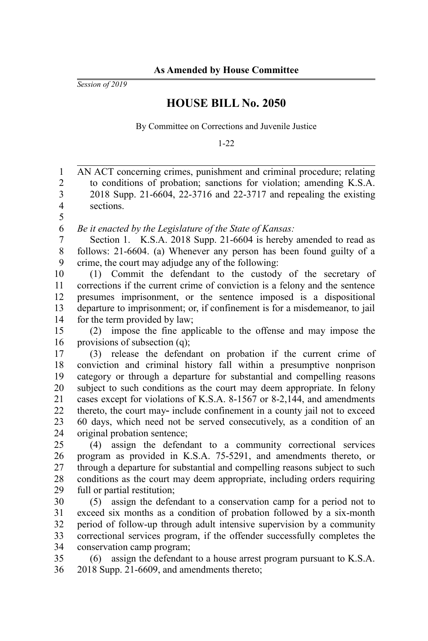*Session of 2019*

## **HOUSE BILL No. 2050**

By Committee on Corrections and Juvenile Justice

1-22

AN ACT concerning crimes, punishment and criminal procedure; relating to conditions of probation; sanctions for violation; amending K.S.A. 2018 Supp. 21-6604, 22-3716 and 22-3717 and repealing the existing sections. 1 2 3 4 5

*Be it enacted by the Legislature of the State of Kansas:* 6

Section 1. K.S.A. 2018 Supp. 21-6604 is hereby amended to read as follows: 21-6604. (a) Whenever any person has been found guilty of a crime, the court may adjudge any of the following: 7 8 9

(1) Commit the defendant to the custody of the secretary of corrections if the current crime of conviction is a felony and the sentence presumes imprisonment, or the sentence imposed is a dispositional departure to imprisonment; or, if confinement is for a misdemeanor, to jail for the term provided by law; 10 11 12 13 14

(2) impose the fine applicable to the offense and may impose the provisions of subsection (q); 15 16

(3) release the defendant on probation if the current crime of conviction and criminal history fall within a presumptive nonprison category or through a departure for substantial and compelling reasons subject to such conditions as the court may deem appropriate. In felony cases except for violations of K.S.A. 8-1567 or 8-2,144, and amendments thereto, the court may-include confinement in a county jail not to exceed 60 days, which need not be served consecutively, as a condition of an original probation sentence; 17 18 19 20 21 22 23 24

(4) assign the defendant to a community correctional services program as provided in K.S.A. 75-5291, and amendments thereto, or through a departure for substantial and compelling reasons subject to such conditions as the court may deem appropriate, including orders requiring full or partial restitution; 25 26 27 28 29

(5) assign the defendant to a conservation camp for a period not to exceed six months as a condition of probation followed by a six-month period of follow-up through adult intensive supervision by a community correctional services program, if the offender successfully completes the conservation camp program; 30 31 32 33 34

(6) assign the defendant to a house arrest program pursuant to K.S.A. 2018 Supp. 21-6609, and amendments thereto; 35 36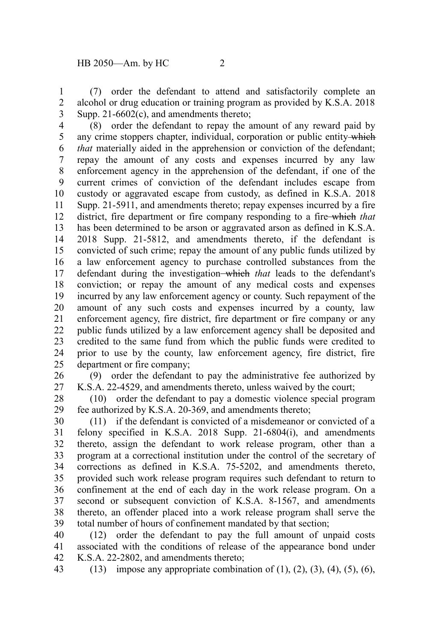(7) order the defendant to attend and satisfactorily complete an alcohol or drug education or training program as provided by K.S.A. 2018 Supp. 21-6602(c), and amendments thereto; 1 2 3

(8) order the defendant to repay the amount of any reward paid by any crime stoppers chapter, individual, corporation or public entity which *that* materially aided in the apprehension or conviction of the defendant; repay the amount of any costs and expenses incurred by any law enforcement agency in the apprehension of the defendant, if one of the current crimes of conviction of the defendant includes escape from custody or aggravated escape from custody, as defined in K.S.A. 2018 Supp. 21-5911, and amendments thereto; repay expenses incurred by a fire district, fire department or fire company responding to a fire which *that* has been determined to be arson or aggravated arson as defined in K.S.A. 2018 Supp. 21-5812, and amendments thereto, if the defendant is convicted of such crime; repay the amount of any public funds utilized by a law enforcement agency to purchase controlled substances from the defendant during the investigation which *that* leads to the defendant's conviction; or repay the amount of any medical costs and expenses incurred by any law enforcement agency or county. Such repayment of the amount of any such costs and expenses incurred by a county, law enforcement agency, fire district, fire department or fire company or any public funds utilized by a law enforcement agency shall be deposited and credited to the same fund from which the public funds were credited to prior to use by the county, law enforcement agency, fire district, fire department or fire company; 4 5 6 7 8 9 10 11 12 13 14 15 16 17 18 19 20 21 22 23 24 25

(9) order the defendant to pay the administrative fee authorized by K.S.A. 22-4529, and amendments thereto, unless waived by the court; 26 27

(10) order the defendant to pay a domestic violence special program fee authorized by K.S.A. 20-369, and amendments thereto; 28 29

(11) if the defendant is convicted of a misdemeanor or convicted of a felony specified in K.S.A. 2018 Supp. 21-6804(i), and amendments thereto, assign the defendant to work release program, other than a program at a correctional institution under the control of the secretary of corrections as defined in K.S.A. 75-5202, and amendments thereto, provided such work release program requires such defendant to return to confinement at the end of each day in the work release program. On a second or subsequent conviction of K.S.A. 8-1567, and amendments thereto, an offender placed into a work release program shall serve the total number of hours of confinement mandated by that section; 30 31 32 33 34 35 36 37 38 39

(12) order the defendant to pay the full amount of unpaid costs associated with the conditions of release of the appearance bond under K.S.A. 22-2802, and amendments thereto; 40 41 42

(13) impose any appropriate combination of  $(1)$ ,  $(2)$ ,  $(3)$ ,  $(4)$ ,  $(5)$ ,  $(6)$ , 43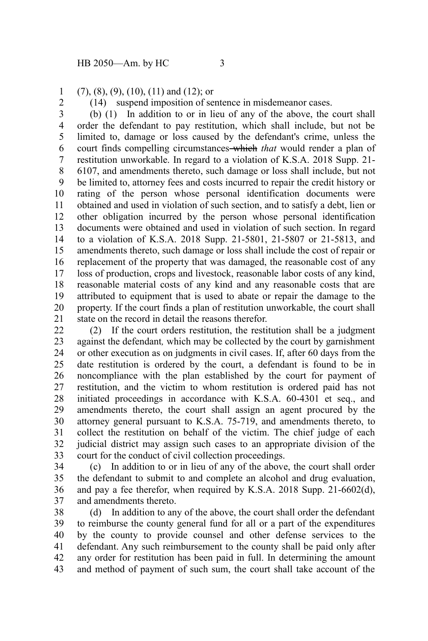(7), (8), (9), (10), (11) and (12); or 1

2

(14) suspend imposition of sentence in misdemeanor cases.

(b) (1) In addition to or in lieu of any of the above, the court shall order the defendant to pay restitution, which shall include, but not be limited to, damage or loss caused by the defendant's crime, unless the court finds compelling circumstances which *that* would render a plan of restitution unworkable. In regard to a violation of K.S.A. 2018 Supp. 21- 6107, and amendments thereto, such damage or loss shall include, but not be limited to, attorney fees and costs incurred to repair the credit history or rating of the person whose personal identification documents were obtained and used in violation of such section, and to satisfy a debt, lien or other obligation incurred by the person whose personal identification documents were obtained and used in violation of such section. In regard to a violation of K.S.A. 2018 Supp. 21-5801, 21-5807 or 21-5813, and amendments thereto, such damage or loss shall include the cost of repair or replacement of the property that was damaged, the reasonable cost of any loss of production, crops and livestock, reasonable labor costs of any kind, reasonable material costs of any kind and any reasonable costs that are attributed to equipment that is used to abate or repair the damage to the property. If the court finds a plan of restitution unworkable, the court shall state on the record in detail the reasons therefor. 3 4 5 6 7 8 9 10 11 12 13 14 15 16 17 18 19 20 21

(2) If the court orders restitution, the restitution shall be a judgment against the defendant*,* which may be collected by the court by garnishment or other execution as on judgments in civil cases. If, after 60 days from the date restitution is ordered by the court, a defendant is found to be in noncompliance with the plan established by the court for payment of restitution, and the victim to whom restitution is ordered paid has not initiated proceedings in accordance with K.S.A. 60-4301 et seq., and amendments thereto, the court shall assign an agent procured by the attorney general pursuant to K.S.A. 75-719, and amendments thereto, to collect the restitution on behalf of the victim. The chief judge of each judicial district may assign such cases to an appropriate division of the court for the conduct of civil collection proceedings. 22 23 24 25 26 27 28 29 30 31 32 33

(c) In addition to or in lieu of any of the above, the court shall order the defendant to submit to and complete an alcohol and drug evaluation, and pay a fee therefor, when required by K.S.A. 2018 Supp. 21-6602(d), and amendments thereto. 34 35 36 37

(d) In addition to any of the above, the court shall order the defendant to reimburse the county general fund for all or a part of the expenditures by the county to provide counsel and other defense services to the defendant. Any such reimbursement to the county shall be paid only after any order for restitution has been paid in full. In determining the amount and method of payment of such sum, the court shall take account of the 38 39 40 41 42 43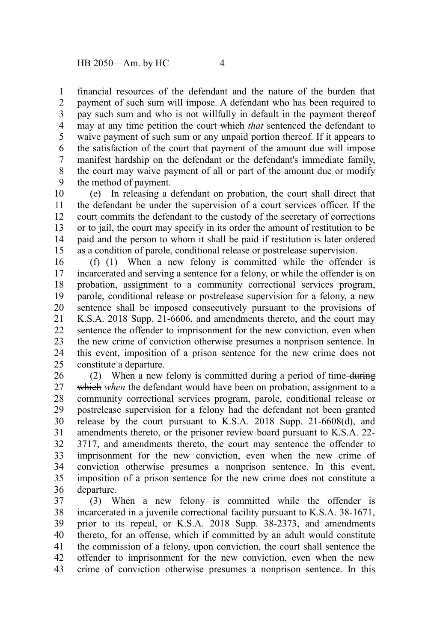financial resources of the defendant and the nature of the burden that payment of such sum will impose. A defendant who has been required to pay such sum and who is not willfully in default in the payment thereof may at any time petition the court-which *that* sentenced the defendant to waive payment of such sum or any unpaid portion thereof. If it appears to the satisfaction of the court that payment of the amount due will impose manifest hardship on the defendant or the defendant's immediate family, the court may waive payment of all or part of the amount due or modify the method of payment. 1 2 3 4 5 6 7 8 9

(e) In releasing a defendant on probation, the court shall direct that the defendant be under the supervision of a court services officer. If the court commits the defendant to the custody of the secretary of corrections or to jail, the court may specify in its order the amount of restitution to be paid and the person to whom it shall be paid if restitution is later ordered as a condition of parole, conditional release or postrelease supervision. 10 11 12 13 14 15

(f) (1) When a new felony is committed while the offender is incarcerated and serving a sentence for a felony, or while the offender is on probation, assignment to a community correctional services program, parole, conditional release or postrelease supervision for a felony, a new sentence shall be imposed consecutively pursuant to the provisions of K.S.A. 2018 Supp. 21-6606, and amendments thereto, and the court may sentence the offender to imprisonment for the new conviction, even when the new crime of conviction otherwise presumes a nonprison sentence. In this event, imposition of a prison sentence for the new crime does not constitute a departure. 16 17 18 19 20 21 22 23 24 25

(2) When a new felony is committed during a period of time-during which *when* the defendant would have been on probation, assignment to a community correctional services program, parole, conditional release or postrelease supervision for a felony had the defendant not been granted release by the court pursuant to K.S.A. 2018 Supp. 21-6608(d), and amendments thereto, or the prisoner review board pursuant to K.S.A. 22- 3717, and amendments thereto, the court may sentence the offender to imprisonment for the new conviction, even when the new crime of conviction otherwise presumes a nonprison sentence. In this event, imposition of a prison sentence for the new crime does not constitute a departure. 26 27 28 29 30 31 32 33 34 35 36

(3) When a new felony is committed while the offender is incarcerated in a juvenile correctional facility pursuant to K.S.A. 38-1671, prior to its repeal, or K.S.A. 2018 Supp. 38-2373, and amendments thereto, for an offense, which if committed by an adult would constitute the commission of a felony, upon conviction, the court shall sentence the offender to imprisonment for the new conviction, even when the new crime of conviction otherwise presumes a nonprison sentence. In this 37 38 39 40 41 42 43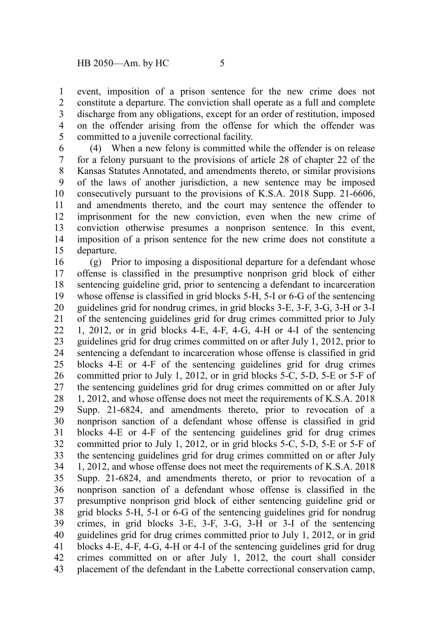event, imposition of a prison sentence for the new crime does not constitute a departure. The conviction shall operate as a full and complete discharge from any obligations, except for an order of restitution, imposed on the offender arising from the offense for which the offender was committed to a juvenile correctional facility. 1 2 3 4 5

(4) When a new felony is committed while the offender is on release for a felony pursuant to the provisions of article 28 of chapter 22 of the Kansas Statutes Annotated, and amendments thereto, or similar provisions of the laws of another jurisdiction, a new sentence may be imposed consecutively pursuant to the provisions of K.S.A. 2018 Supp. 21-6606, and amendments thereto, and the court may sentence the offender to imprisonment for the new conviction, even when the new crime of conviction otherwise presumes a nonprison sentence. In this event, imposition of a prison sentence for the new crime does not constitute a departure. 6 7 8 9 10 11 12 13 14 15

(g) Prior to imposing a dispositional departure for a defendant whose offense is classified in the presumptive nonprison grid block of either sentencing guideline grid, prior to sentencing a defendant to incarceration whose offense is classified in grid blocks 5-H, 5-I or 6-G of the sentencing guidelines grid for nondrug crimes, in grid blocks 3-E, 3-F, 3-G, 3-H or 3-I of the sentencing guidelines grid for drug crimes committed prior to July 1, 2012, or in grid blocks 4-E, 4-F, 4-G, 4-H or 4-I of the sentencing guidelines grid for drug crimes committed on or after July 1, 2012, prior to sentencing a defendant to incarceration whose offense is classified in grid blocks 4-E or 4-F of the sentencing guidelines grid for drug crimes committed prior to July 1, 2012, or in grid blocks 5-C, 5-D, 5-E or 5-F of the sentencing guidelines grid for drug crimes committed on or after July 1, 2012, and whose offense does not meet the requirements of K.S.A. 2018 Supp. 21-6824, and amendments thereto, prior to revocation of a nonprison sanction of a defendant whose offense is classified in grid blocks 4-E or 4-F of the sentencing guidelines grid for drug crimes committed prior to July 1, 2012, or in grid blocks 5-C, 5-D, 5-E or 5-F of the sentencing guidelines grid for drug crimes committed on or after July 1, 2012, and whose offense does not meet the requirements of K.S.A. 2018 Supp. 21-6824, and amendments thereto, or prior to revocation of a nonprison sanction of a defendant whose offense is classified in the presumptive nonprison grid block of either sentencing guideline grid or grid blocks 5-H, 5-I or 6-G of the sentencing guidelines grid for nondrug crimes, in grid blocks 3-E, 3-F, 3-G, 3-H or 3-I of the sentencing guidelines grid for drug crimes committed prior to July 1, 2012, or in grid blocks 4-E, 4-F, 4-G, 4-H or 4-I of the sentencing guidelines grid for drug crimes committed on or after July 1, 2012, the court shall consider placement of the defendant in the Labette correctional conservation camp, 16 17 18 19 20 21 22 23 24 25 26 27 28 29 30 31 32 33 34 35 36 37 38 39 40 41 42 43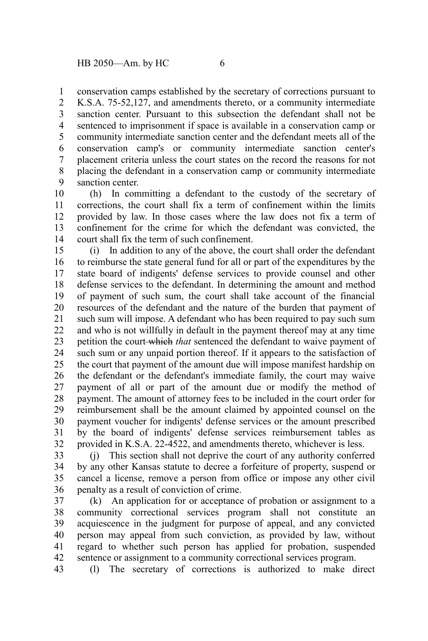conservation camps established by the secretary of corrections pursuant to 1

K.S.A. 75-52,127, and amendments thereto, or a community intermediate sanction center. Pursuant to this subsection the defendant shall not be sentenced to imprisonment if space is available in a conservation camp or community intermediate sanction center and the defendant meets all of the conservation camp's or community intermediate sanction center's placement criteria unless the court states on the record the reasons for not placing the defendant in a conservation camp or community intermediate sanction center. 2 3 4 5 6 7 8 9

(h) In committing a defendant to the custody of the secretary of corrections, the court shall fix a term of confinement within the limits provided by law. In those cases where the law does not fix a term of confinement for the crime for which the defendant was convicted, the court shall fix the term of such confinement. 10 11 12 13 14

(i) In addition to any of the above, the court shall order the defendant to reimburse the state general fund for all or part of the expenditures by the state board of indigents' defense services to provide counsel and other defense services to the defendant. In determining the amount and method of payment of such sum, the court shall take account of the financial resources of the defendant and the nature of the burden that payment of such sum will impose. A defendant who has been required to pay such sum and who is not willfully in default in the payment thereof may at any time petition the court which *that* sentenced the defendant to waive payment of such sum or any unpaid portion thereof. If it appears to the satisfaction of the court that payment of the amount due will impose manifest hardship on the defendant or the defendant's immediate family, the court may waive payment of all or part of the amount due or modify the method of payment. The amount of attorney fees to be included in the court order for reimbursement shall be the amount claimed by appointed counsel on the payment voucher for indigents' defense services or the amount prescribed by the board of indigents' defense services reimbursement tables as provided in K.S.A. 22-4522, and amendments thereto, whichever is less. 15 16 17 18 19 20 21 22 23 24 25 26 27 28 29 30 31 32

(j) This section shall not deprive the court of any authority conferred by any other Kansas statute to decree a forfeiture of property, suspend or cancel a license, remove a person from office or impose any other civil penalty as a result of conviction of crime. 33 34 35 36

(k) An application for or acceptance of probation or assignment to a community correctional services program shall not constitute an acquiescence in the judgment for purpose of appeal, and any convicted person may appeal from such conviction, as provided by law, without regard to whether such person has applied for probation, suspended sentence or assignment to a community correctional services program. 37 38 39 40 41 42

(l) The secretary of corrections is authorized to make direct 43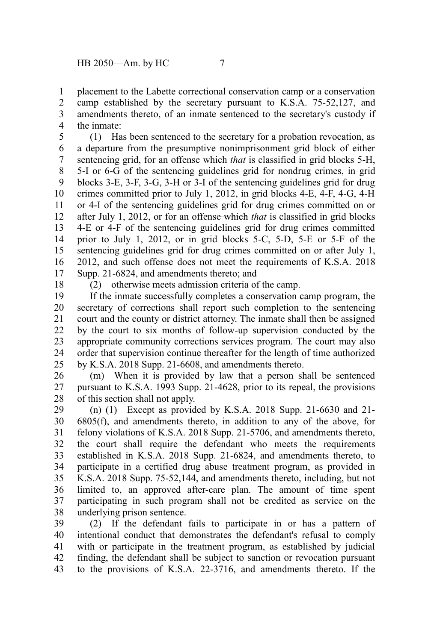placement to the Labette correctional conservation camp or a conservation camp established by the secretary pursuant to K.S.A. 75-52,127, and amendments thereto, of an inmate sentenced to the secretary's custody if the inmate: 1 2 3 4

(1) Has been sentenced to the secretary for a probation revocation, as a departure from the presumptive nonimprisonment grid block of either sentencing grid, for an offense which *that* is classified in grid blocks 5-H, 5-I or 6-G of the sentencing guidelines grid for nondrug crimes, in grid blocks 3-E, 3-F, 3-G, 3-H or 3-I of the sentencing guidelines grid for drug crimes committed prior to July 1, 2012, in grid blocks 4-E, 4-F, 4-G, 4-H or 4-I of the sentencing guidelines grid for drug crimes committed on or after July 1, 2012, or for an offense which *that* is classified in grid blocks 4-E or 4-F of the sentencing guidelines grid for drug crimes committed prior to July 1, 2012, or in grid blocks 5-C, 5-D, 5-E or 5-F of the sentencing guidelines grid for drug crimes committed on or after July 1, 2012, and such offense does not meet the requirements of K.S.A. 2018 Supp. 21-6824, and amendments thereto; and 5 6 7 8 9 10 11 12 13 14 15 16 17

18

(2) otherwise meets admission criteria of the camp.

If the inmate successfully completes a conservation camp program, the secretary of corrections shall report such completion to the sentencing court and the county or district attorney. The inmate shall then be assigned by the court to six months of follow-up supervision conducted by the appropriate community corrections services program. The court may also order that supervision continue thereafter for the length of time authorized by K.S.A. 2018 Supp. 21-6608, and amendments thereto. 19 20 21 22 23 24 25

(m) When it is provided by law that a person shall be sentenced pursuant to K.S.A. 1993 Supp. 21-4628, prior to its repeal, the provisions of this section shall not apply. 26 27 28

(n) (1) Except as provided by K.S.A. 2018 Supp. 21-6630 and 21- 6805(f), and amendments thereto, in addition to any of the above, for felony violations of K.S.A. 2018 Supp. 21-5706, and amendments thereto, the court shall require the defendant who meets the requirements established in K.S.A. 2018 Supp. 21-6824, and amendments thereto, to participate in a certified drug abuse treatment program, as provided in K.S.A. 2018 Supp. 75-52,144, and amendments thereto, including, but not limited to, an approved after-care plan. The amount of time spent participating in such program shall not be credited as service on the underlying prison sentence. 29 30 31 32 33 34 35 36 37 38

(2) If the defendant fails to participate in or has a pattern of intentional conduct that demonstrates the defendant's refusal to comply with or participate in the treatment program, as established by judicial finding, the defendant shall be subject to sanction or revocation pursuant to the provisions of K.S.A. 22-3716, and amendments thereto. If the 39 40 41 42 43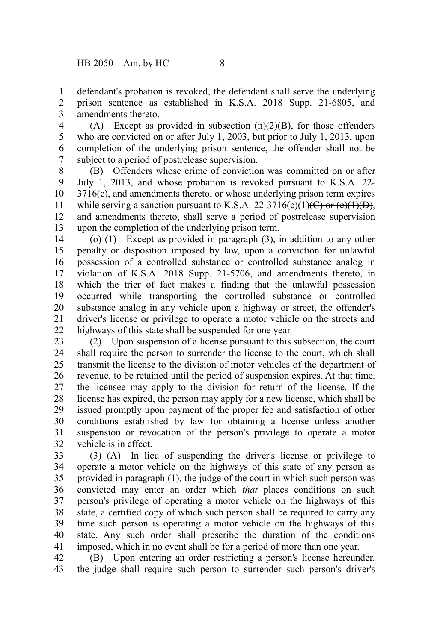defendant's probation is revoked, the defendant shall serve the underlying prison sentence as established in K.S.A. 2018 Supp. 21-6805, and amendments thereto. 1 2 3

 $(A)$  Except as provided in subsection  $(n)(2)(B)$ , for those offenders who are convicted on or after July 1, 2003, but prior to July 1, 2013, upon completion of the underlying prison sentence, the offender shall not be subject to a period of postrelease supervision. 4 5 6 7

(B) Offenders whose crime of conviction was committed on or after July 1, 2013, and whose probation is revoked pursuant to K.S.A. 22- 3716(c), and amendments thereto, or whose underlying prison term expires while serving a sanction pursuant to K.S.A. 22-3716(c)(1)(C) or (e)(1)(D), and amendments thereto, shall serve a period of postrelease supervision upon the completion of the underlying prison term. 8 9 10 11 12 13

(o) (1) Except as provided in paragraph (3), in addition to any other penalty or disposition imposed by law, upon a conviction for unlawful possession of a controlled substance or controlled substance analog in violation of K.S.A. 2018 Supp. 21-5706, and amendments thereto, in which the trier of fact makes a finding that the unlawful possession occurred while transporting the controlled substance or controlled substance analog in any vehicle upon a highway or street, the offender's driver's license or privilege to operate a motor vehicle on the streets and highways of this state shall be suspended for one year. 14 15 16 17 18 19 20 21 22

(2) Upon suspension of a license pursuant to this subsection, the court shall require the person to surrender the license to the court, which shall transmit the license to the division of motor vehicles of the department of revenue, to be retained until the period of suspension expires. At that time, the licensee may apply to the division for return of the license. If the license has expired, the person may apply for a new license, which shall be issued promptly upon payment of the proper fee and satisfaction of other conditions established by law for obtaining a license unless another suspension or revocation of the person's privilege to operate a motor vehicle is in effect. 23 24 25 26 27 28 29 30 31 32

(3) (A) In lieu of suspending the driver's license or privilege to operate a motor vehicle on the highways of this state of any person as provided in paragraph (1), the judge of the court in which such person was convicted may enter an order-which that places conditions on such person's privilege of operating a motor vehicle on the highways of this state, a certified copy of which such person shall be required to carry any time such person is operating a motor vehicle on the highways of this state. Any such order shall prescribe the duration of the conditions imposed, which in no event shall be for a period of more than one year. 33 34 35 36 37 38 39 40 41

(B) Upon entering an order restricting a person's license hereunder, the judge shall require such person to surrender such person's driver's 42 43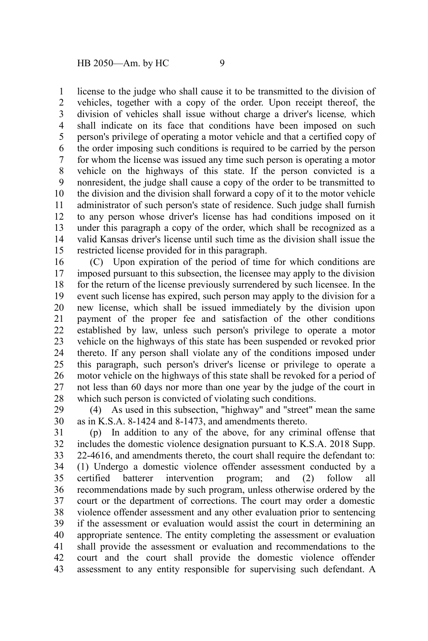license to the judge who shall cause it to be transmitted to the division of vehicles, together with a copy of the order. Upon receipt thereof, the division of vehicles shall issue without charge a driver's license*,* which shall indicate on its face that conditions have been imposed on such person's privilege of operating a motor vehicle and that a certified copy of the order imposing such conditions is required to be carried by the person for whom the license was issued any time such person is operating a motor vehicle on the highways of this state. If the person convicted is a nonresident, the judge shall cause a copy of the order to be transmitted to the division and the division shall forward a copy of it to the motor vehicle administrator of such person's state of residence. Such judge shall furnish to any person whose driver's license has had conditions imposed on it under this paragraph a copy of the order, which shall be recognized as a valid Kansas driver's license until such time as the division shall issue the restricted license provided for in this paragraph. 1 2 3 4 5 6 7 8 9 10 11 12 13 14 15

(C) Upon expiration of the period of time for which conditions are imposed pursuant to this subsection, the licensee may apply to the division for the return of the license previously surrendered by such licensee. In the event such license has expired, such person may apply to the division for a new license, which shall be issued immediately by the division upon payment of the proper fee and satisfaction of the other conditions established by law, unless such person's privilege to operate a motor vehicle on the highways of this state has been suspended or revoked prior thereto. If any person shall violate any of the conditions imposed under this paragraph, such person's driver's license or privilege to operate a motor vehicle on the highways of this state shall be revoked for a period of not less than 60 days nor more than one year by the judge of the court in which such person is convicted of violating such conditions. 16 17 18 19 20 21 22 23 24 25 26 27 28

(4) As used in this subsection, "highway" and "street" mean the same as in K.S.A. 8-1424 and 8-1473, and amendments thereto. 29 30

(p) In addition to any of the above, for any criminal offense that includes the domestic violence designation pursuant to K.S.A. 2018 Supp. 22-4616, and amendments thereto, the court shall require the defendant to: (1) Undergo a domestic violence offender assessment conducted by a certified batterer intervention program; and (2) follow all recommendations made by such program, unless otherwise ordered by the court or the department of corrections. The court may order a domestic violence offender assessment and any other evaluation prior to sentencing if the assessment or evaluation would assist the court in determining an appropriate sentence. The entity completing the assessment or evaluation shall provide the assessment or evaluation and recommendations to the court and the court shall provide the domestic violence offender assessment to any entity responsible for supervising such defendant. A 31 32 33 34 35 36 37 38 39 40 41 42 43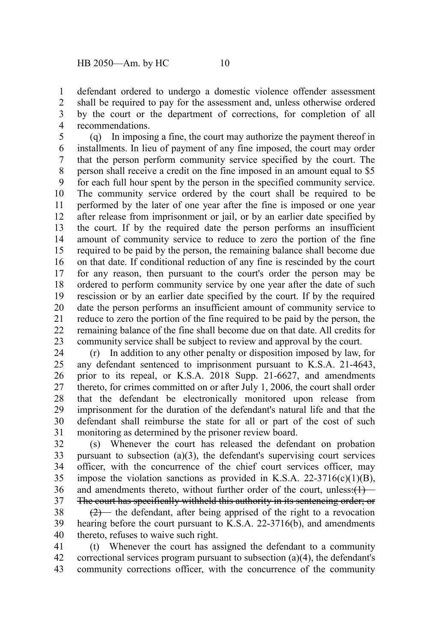defendant ordered to undergo a domestic violence offender assessment shall be required to pay for the assessment and, unless otherwise ordered by the court or the department of corrections, for completion of all recommendations. 1 2 3 4

(q) In imposing a fine, the court may authorize the payment thereof in installments. In lieu of payment of any fine imposed, the court may order that the person perform community service specified by the court. The person shall receive a credit on the fine imposed in an amount equal to \$5 for each full hour spent by the person in the specified community service. The community service ordered by the court shall be required to be performed by the later of one year after the fine is imposed or one year after release from imprisonment or jail, or by an earlier date specified by the court. If by the required date the person performs an insufficient amount of community service to reduce to zero the portion of the fine required to be paid by the person, the remaining balance shall become due on that date. If conditional reduction of any fine is rescinded by the court for any reason, then pursuant to the court's order the person may be ordered to perform community service by one year after the date of such rescission or by an earlier date specified by the court. If by the required date the person performs an insufficient amount of community service to reduce to zero the portion of the fine required to be paid by the person, the remaining balance of the fine shall become due on that date. All credits for community service shall be subject to review and approval by the court. 5 6 7 8 9 10 11 12 13 14 15 16 17 18 19 20 21 22 23

(r) In addition to any other penalty or disposition imposed by law, for any defendant sentenced to imprisonment pursuant to K.S.A. 21-4643, prior to its repeal, or K.S.A. 2018 Supp. 21-6627, and amendments thereto, for crimes committed on or after July 1, 2006, the court shall order that the defendant be electronically monitored upon release from imprisonment for the duration of the defendant's natural life and that the defendant shall reimburse the state for all or part of the cost of such monitoring as determined by the prisoner review board. 24 25 26 27 28 29 30 31

(s) Whenever the court has released the defendant on probation pursuant to subsection (a)(3), the defendant's supervising court services officer, with the concurrence of the chief court services officer, may impose the violation sanctions as provided in K.S.A.  $22-3716(c)(1)(B)$ , and amendments thereto, without further order of the court, unless: $(1)$ The court has specifically withheld this authority in its sentencing order; or 32 33 34 35 36 37

 $(2)$  the defendant, after being apprised of the right to a revocation hearing before the court pursuant to K.S.A. 22-3716(b), and amendments thereto, refuses to waive such right. 38 39 40

(t) Whenever the court has assigned the defendant to a community correctional services program pursuant to subsection (a)(4), the defendant's community corrections officer, with the concurrence of the community 41 42 43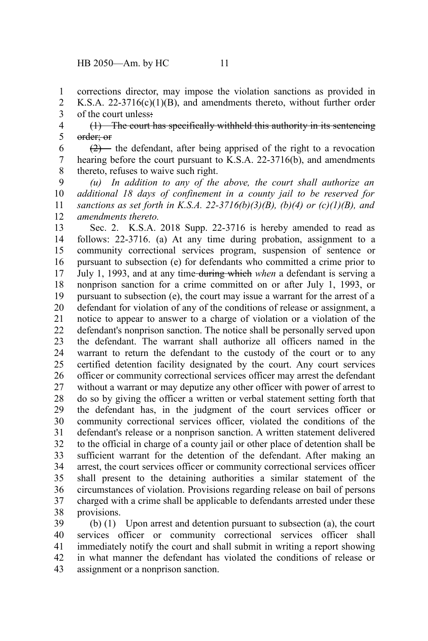corrections director, may impose the violation sanctions as provided in K.S.A.  $22-3716(c)(1)(B)$ , and amendments thereto, without further order 1 2

of the court unless: 3

(1) The court has specifically withheld this authority in its sentencing order; or 4 5

 $(2)$ — the defendant, after being apprised of the right to a revocation hearing before the court pursuant to K.S.A. 22-3716(b), and amendments thereto, refuses to waive such right. 6 7 8

*(u) In addition to any of the above, the court shall authorize an additional 18 days of confinement in a county jail to be reserved for sanctions as set forth in K.S.A. 22-3716(b)(3)(B), (b)(4) or (c)(1)(B), and amendments thereto.* 9 10 11 12

Sec. 2. K.S.A. 2018 Supp. 22-3716 is hereby amended to read as follows: 22-3716. (a) At any time during probation, assignment to a community correctional services program, suspension of sentence or pursuant to subsection (e) for defendants who committed a crime prior to July 1, 1993, and at any time during which *when* a defendant is serving a nonprison sanction for a crime committed on or after July 1, 1993, or pursuant to subsection (e), the court may issue a warrant for the arrest of a defendant for violation of any of the conditions of release or assignment, a notice to appear to answer to a charge of violation or a violation of the defendant's nonprison sanction. The notice shall be personally served upon the defendant. The warrant shall authorize all officers named in the warrant to return the defendant to the custody of the court or to any certified detention facility designated by the court. Any court services officer or community correctional services officer may arrest the defendant without a warrant or may deputize any other officer with power of arrest to do so by giving the officer a written or verbal statement setting forth that the defendant has, in the judgment of the court services officer or community correctional services officer, violated the conditions of the defendant's release or a nonprison sanction. A written statement delivered to the official in charge of a county jail or other place of detention shall be sufficient warrant for the detention of the defendant. After making an arrest, the court services officer or community correctional services officer shall present to the detaining authorities a similar statement of the circumstances of violation. Provisions regarding release on bail of persons charged with a crime shall be applicable to defendants arrested under these provisions. 13 14 15 16 17 18 19 20 21 22 23 24 25 26 27 28 29 30 31 32 33 34 35 36 37 38

(b) (1) Upon arrest and detention pursuant to subsection (a), the court services officer or community correctional services officer shall immediately notify the court and shall submit in writing a report showing in what manner the defendant has violated the conditions of release or assignment or a nonprison sanction. 39 40 41 42 43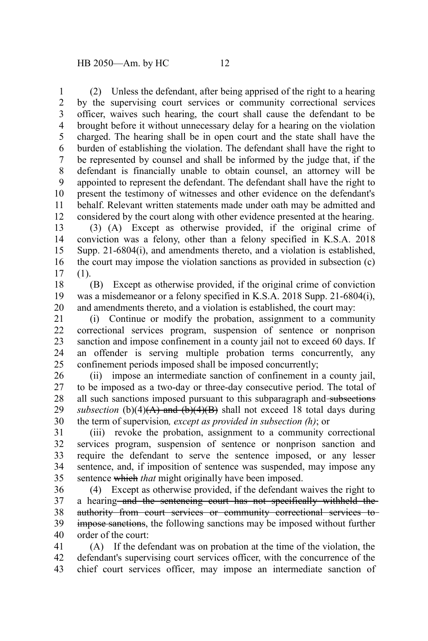(2) Unless the defendant, after being apprised of the right to a hearing by the supervising court services or community correctional services officer, waives such hearing, the court shall cause the defendant to be brought before it without unnecessary delay for a hearing on the violation charged. The hearing shall be in open court and the state shall have the burden of establishing the violation. The defendant shall have the right to be represented by counsel and shall be informed by the judge that, if the defendant is financially unable to obtain counsel, an attorney will be appointed to represent the defendant. The defendant shall have the right to present the testimony of witnesses and other evidence on the defendant's behalf. Relevant written statements made under oath may be admitted and considered by the court along with other evidence presented at the hearing. 1 2 3 4 5 6 7 8 9 10 11 12

(3) (A) Except as otherwise provided, if the original crime of conviction was a felony, other than a felony specified in K.S.A. 2018 Supp. 21-6804(i), and amendments thereto, and a violation is established, the court may impose the violation sanctions as provided in subsection (c) (1). 13 14 15 16 17

(B) Except as otherwise provided, if the original crime of conviction was a misdemeanor or a felony specified in K.S.A. 2018 Supp. 21-6804(i), and amendments thereto, and a violation is established, the court may: 18 19 20

(i) Continue or modify the probation, assignment to a community correctional services program, suspension of sentence or nonprison sanction and impose confinement in a county jail not to exceed 60 days. If an offender is serving multiple probation terms concurrently, any confinement periods imposed shall be imposed concurrently; 21 22 23 24 25

(ii) impose an intermediate sanction of confinement in a county jail, to be imposed as a two-day or three-day consecutive period. The total of all such sanctions imposed pursuant to this subparagraph and subsections  $subsection$  (b)(4) $(A)$  and  $(b)$ (4) $(B)$  shall not exceed 18 total days during the term of supervision*, except as provided in subsection (h)*; or 26 27 28 29 30

(iii) revoke the probation, assignment to a community correctional services program, suspension of sentence or nonprison sanction and require the defendant to serve the sentence imposed, or any lesser sentence, and, if imposition of sentence was suspended, may impose any sentence which *that* might originally have been imposed. 31 32 33 34 35

(4) Except as otherwise provided, if the defendant waives the right to a hearing and the sentencing court has not specifically withheld the authority from court services or community correctional services to impose sanctions, the following sanctions may be imposed without further order of the court: 36 37 38 39 40

(A) If the defendant was on probation at the time of the violation, the defendant's supervising court services officer, with the concurrence of the chief court services officer, may impose an intermediate sanction of 41 42 43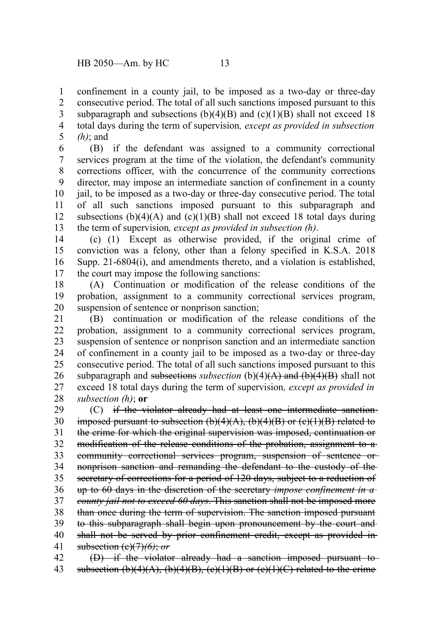confinement in a county jail, to be imposed as a two-day or three-day consecutive period. The total of all such sanctions imposed pursuant to this subparagraph and subsections  $(b)(4)(B)$  and  $(c)(1)(B)$  shall not exceed 18 total days during the term of supervision*, except as provided in subsection (h)*; and 1 2 3 4 5

(B) if the defendant was assigned to a community correctional services program at the time of the violation, the defendant's community corrections officer, with the concurrence of the community corrections director, may impose an intermediate sanction of confinement in a county jail, to be imposed as a two-day or three-day consecutive period. The total of all such sanctions imposed pursuant to this subparagraph and subsections  $(b)(4)(A)$  and  $(c)(1)(B)$  shall not exceed 18 total days during the term of supervision*, except as provided in subsection (h)*. 6 7 8 9 10 11 12 13

(c) (1) Except as otherwise provided, if the original crime of conviction was a felony, other than a felony specified in K.S.A. 2018 Supp. 21-6804(i), and amendments thereto, and a violation is established, the court may impose the following sanctions: 14 15 16 17

(A) Continuation or modification of the release conditions of the probation, assignment to a community correctional services program, suspension of sentence or nonprison sanction; 18 19 20

(B) continuation or modification of the release conditions of the probation, assignment to a community correctional services program, suspension of sentence or nonprison sanction and an intermediate sanction of confinement in a county jail to be imposed as a two-day or three-day consecutive period. The total of all such sanctions imposed pursuant to this subparagraph and subsections *subsection* (b)(4)(A) and (b)(4)(B) shall not exceed 18 total days during the term of supervision*, except as provided in subsection (h)*; **or** 21 22 23 24 25 26 27 28

(C) if the violator already had at least one intermediate sanction imposed pursuant to subsection  $(b)(4)(A)$ ,  $(b)(4)(B)$  or  $(c)(1)(B)$  related to the crime for which the original supervision was imposed, continuation or modification of the release conditions of the probation, assignment to a community correctional services program, suspension of sentence or nonprison sanction and remanding the defendant to the custody of the secretary of corrections for a period of 120 days, subject to a reduction of up to 60 days in the discretion of the secretary *impose confinement in a county jail not to exceed 60 days*. This sanction shall not be imposed more than once during the term of supervision. The sanction imposed pursuant to this subparagraph shall begin upon pronouncement by the court and shall not be served by prior confinement credit, except as provided insubsection (c)(7)*(6)*; *or* (D) if the violator already had a sanction imposed pursuant to 29 30 31 32 33 34 35 36 37 38 39 40 41 42

subsection (b)(4)(A), (b)(4)(B), (c)(1)(B) or (c)(1)(C) related to the crime 43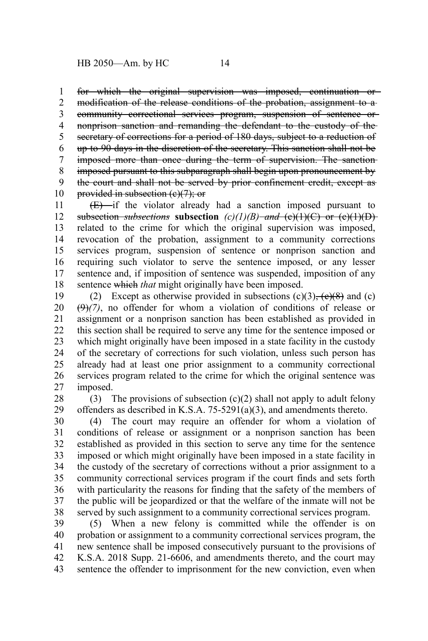for which the original supervision was imposed, continuation or 1

modification of the release conditions of the probation, assignment to a community correctional services program, suspension of sentence or nonprison sanction and remanding the defendant to the custody of the secretary of corrections for a period of 180 days, subject to a reduction of up to 90 days in the discretion of the secretary. This sanction shall not be imposed more than once during the term of supervision. The sanction imposed pursuant to this subparagraph shall begin upon pronouncement by the court and shall not be served by prior confinement credit, except as provided in subsection (e)(7); or 2 3 4 5 6 7 8 9 10

 $(E)$  if the violator already had a sanction imposed pursuant to subsection *subsections* **subsection** *(c)(1)(B) and* (c)(1)(C) or (c)(1)(D) related to the crime for which the original supervision was imposed, revocation of the probation, assignment to a community corrections services program, suspension of sentence or nonprison sanction and requiring such violator to serve the sentence imposed, or any lesser sentence and, if imposition of sentence was suspended, imposition of any sentence which *that* might originally have been imposed. 11 12 13 14 15 16 17 18

(2) Except as otherwise provided in subsections  $(c)(3)$ ,  $(c)(8)$  and  $(c)$  $(9)$  $(7)$ , no offender for whom a violation of conditions of release or assignment or a nonprison sanction has been established as provided in this section shall be required to serve any time for the sentence imposed or which might originally have been imposed in a state facility in the custody of the secretary of corrections for such violation, unless such person has already had at least one prior assignment to a community correctional services program related to the crime for which the original sentence was imposed. 19 20 21 22 23 24 25 26 27

(3) The provisions of subsection  $(c)(2)$  shall not apply to adult felony offenders as described in K.S.A. 75-5291(a)(3), and amendments thereto. 28 29

(4) The court may require an offender for whom a violation of conditions of release or assignment or a nonprison sanction has been established as provided in this section to serve any time for the sentence imposed or which might originally have been imposed in a state facility in the custody of the secretary of corrections without a prior assignment to a community correctional services program if the court finds and sets forth with particularity the reasons for finding that the safety of the members of the public will be jeopardized or that the welfare of the inmate will not be served by such assignment to a community correctional services program. 30 31 32 33 34 35 36 37 38

(5) When a new felony is committed while the offender is on probation or assignment to a community correctional services program, the new sentence shall be imposed consecutively pursuant to the provisions of K.S.A. 2018 Supp. 21-6606, and amendments thereto, and the court may sentence the offender to imprisonment for the new conviction, even when 39 40 41 42 43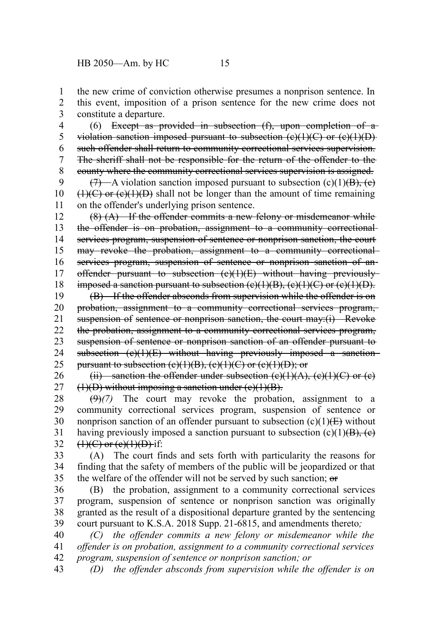the new crime of conviction otherwise presumes a nonprison sentence. In this event, imposition of a prison sentence for the new crime does not constitute a departure. 1 2 3

(6) Except as provided in subsection (f), upon completion of a violation sanction imposed pursuant to subsection  $(e)(1)(C)$  or  $(e)(1)(D)$ such offender shall return to community correctional services supervision. The sheriff shall not be responsible for the return of the offender to the county where the community correctional services supervision is assigned. 4 5 6 7 8

 $(7)$ —A violation sanction imposed pursuant to subsection (c)(1)(B), (e)  $(1)(C)$  or  $(e)(1)(D)$  shall not be longer than the amount of time remaining on the offender's underlying prison sentence. 9 10 11

 $(8)$   $(A)$  If the offender commits a new felony or misdemeanor while the offender is on probation, assignment to a community correctionalservices program, suspension of sentence or nonprison sanction, the court may revoke the probation, assignment to a community correctionalservices program, suspension of sentence or nonprison sanction of anoffender pursuant to subsection (c)(1)(E) without having previously imposed a sanction pursuant to subsection  $(e)(1)(B)$ ,  $(e)(1)(C)$  or  $(e)(1)(D)$ . 12 13 14 15 16 17 18

(B) If the offender absconds from supervision while the offender is on probation, assignment to a community correctional services program, suspension of sentence or nonprison sanction, the court may:(i) Revoke the probation, assignment to a community correctional services program, suspension of sentence or nonprison sanction of an offender pursuant to subsection (c)(1)(E) without having previously imposed a sanctionpursuant to subsection  $(e)(1)(B)$ ,  $(e)(1)(C)$  or  $(e)(1)(D)$ ; or 19 20 21 22 23 24 25

(ii) sanction the offender under subsection  $(e)(1)(A)$ ,  $(e)(1)(C)$  or  $(e)$  $(1)(D)$  without imposing a sanction under  $(e)(1)(B)$ . 26 27

(9)*(7)* The court may revoke the probation, assignment to a community correctional services program, suspension of sentence or nonprison sanction of an offender pursuant to subsection  $(c)(1)$ ( $\overline{E}$ ) without having previously imposed a sanction pursuant to subsection  $(c)(1)(B)$ ,  $(e)$  $(1)(C)$  or  $(e)(1)(D)$  if: 28 29 30 31 32

(A) The court finds and sets forth with particularity the reasons for finding that the safety of members of the public will be jeopardized or that the welfare of the offender will not be served by such sanction; or 33 34 35

(B) the probation, assignment to a community correctional services program, suspension of sentence or nonprison sanction was originally granted as the result of a dispositional departure granted by the sentencing court pursuant to K.S.A. 2018 Supp. 21-6815, and amendments thereto*;* 36 37 38 39

*(C) the offender commits a new felony or misdemeanor while the offender is on probation, assignment to a community correctional services program, suspension of sentence or nonprison sanction; or* 40 41 42

*(D) the offender absconds from supervision while the offender is on* 43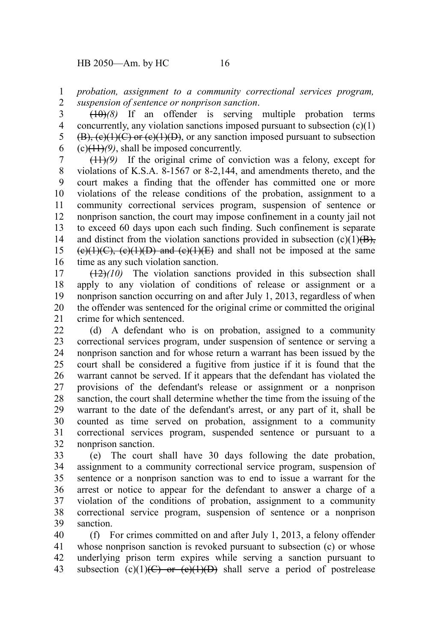*probation, assignment to a community correctional services program, suspension of sentence or nonprison sanction*. 1 2

 $(10)(8)$  If an offender is serving multiple probation terms concurrently, any violation sanctions imposed pursuant to subsection (c)(1)  $(B)$ ,  $(c)(1)(C)$  or  $(c)(1)(D)$ , or any sanction imposed pursuant to subsection (c)(11)*(9)*, shall be imposed concurrently. 3 4 5 6

(11)*(9)* If the original crime of conviction was a felony, except for violations of K.S.A. 8-1567 or 8-2,144, and amendments thereto, and the court makes a finding that the offender has committed one or more violations of the release conditions of the probation, assignment to a community correctional services program, suspension of sentence or nonprison sanction, the court may impose confinement in a county jail not to exceed 60 days upon each such finding. Such confinement is separate and distinct from the violation sanctions provided in subsection  $(c)(1)(B)$ ,  $(e)(1)(C)$ ,  $(e)(1)(D)$  and  $(e)(1)(E)$  and shall not be imposed at the same time as any such violation sanction. 7 8 9 10 11 12 13 14 15 16

 $(12)(10)$  The violation sanctions provided in this subsection shall apply to any violation of conditions of release or assignment or a nonprison sanction occurring on and after July 1, 2013, regardless of when the offender was sentenced for the original crime or committed the original crime for which sentenced. 17 18 19 20 21

(d) A defendant who is on probation, assigned to a community correctional services program, under suspension of sentence or serving a nonprison sanction and for whose return a warrant has been issued by the court shall be considered a fugitive from justice if it is found that the warrant cannot be served. If it appears that the defendant has violated the provisions of the defendant's release or assignment or a nonprison sanction, the court shall determine whether the time from the issuing of the warrant to the date of the defendant's arrest, or any part of it, shall be counted as time served on probation, assignment to a community correctional services program, suspended sentence or pursuant to a nonprison sanction. 22 23 24 25 26 27 28 29 30 31 32

(e) The court shall have 30 days following the date probation, assignment to a community correctional service program, suspension of sentence or a nonprison sanction was to end to issue a warrant for the arrest or notice to appear for the defendant to answer a charge of a violation of the conditions of probation, assignment to a community correctional service program, suspension of sentence or a nonprison sanction. 33 34 35 36 37 38 39

(f) For crimes committed on and after July 1, 2013, a felony offender whose nonprison sanction is revoked pursuant to subsection (c) or whose underlying prison term expires while serving a sanction pursuant to subsection (c)(1)(C) or (e)(1)(D) shall serve a period of postrelease 40 41 42 43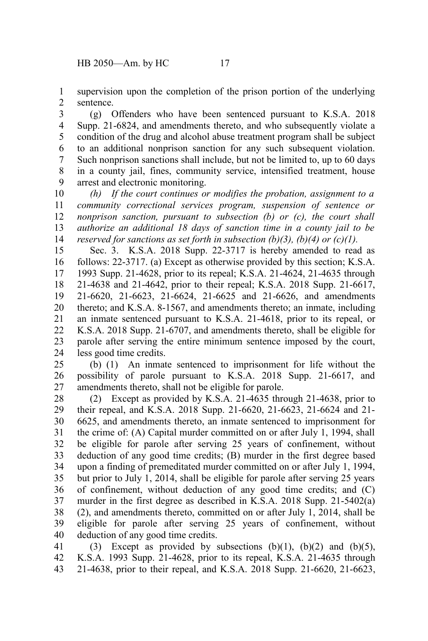supervision upon the completion of the prison portion of the underlying sentence. 1 2

(g) Offenders who have been sentenced pursuant to K.S.A. 2018 Supp. 21-6824, and amendments thereto, and who subsequently violate a condition of the drug and alcohol abuse treatment program shall be subject to an additional nonprison sanction for any such subsequent violation. Such nonprison sanctions shall include, but not be limited to, up to 60 days in a county jail, fines, community service, intensified treatment, house arrest and electronic monitoring. 3 4 5 6 7 8 9

*(h) If the court continues or modifies the probation, assignment to a community correctional services program, suspension of sentence or nonprison sanction, pursuant to subsection (b) or (c), the court shall authorize an additional 18 days of sanction time in a county jail to be reserved for sanctions as set forth in subsection (b)(3), (b)(4) or (c)(1).* 10 11 12 13 14

Sec. 3. K.S.A. 2018 Supp. 22-3717 is hereby amended to read as follows: 22-3717. (a) Except as otherwise provided by this section; K.S.A. 1993 Supp. 21-4628, prior to its repeal; K.S.A. 21-4624, 21-4635 through 21-4638 and 21-4642, prior to their repeal; K.S.A. 2018 Supp. 21-6617, 21-6620, 21-6623, 21-6624, 21-6625 and 21-6626, and amendments thereto; and K.S.A. 8-1567, and amendments thereto; an inmate, including an inmate sentenced pursuant to K.S.A. 21-4618, prior to its repeal, or K.S.A. 2018 Supp. 21-6707, and amendments thereto, shall be eligible for parole after serving the entire minimum sentence imposed by the court, less good time credits. 15 16 17 18 19 20 21 22 23 24

(b) (1) An inmate sentenced to imprisonment for life without the possibility of parole pursuant to K.S.A. 2018 Supp. 21-6617, and amendments thereto, shall not be eligible for parole. 25 26 27

(2) Except as provided by K.S.A. 21-4635 through 21-4638, prior to their repeal, and K.S.A. 2018 Supp. 21-6620, 21-6623, 21-6624 and 21- 6625, and amendments thereto, an inmate sentenced to imprisonment for the crime of: (A) Capital murder committed on or after July 1, 1994, shall be eligible for parole after serving 25 years of confinement, without deduction of any good time credits; (B) murder in the first degree based upon a finding of premeditated murder committed on or after July 1, 1994, but prior to July 1, 2014, shall be eligible for parole after serving 25 years of confinement, without deduction of any good time credits; and (C) murder in the first degree as described in K.S.A. 2018 Supp. 21-5402(a) (2), and amendments thereto, committed on or after July 1, 2014, shall be eligible for parole after serving 25 years of confinement, without deduction of any good time credits. 28 29 30 31 32 33 34 35 36 37 38 39 40

(3) Except as provided by subsections  $(b)(1)$ ,  $(b)(2)$  and  $(b)(5)$ , K.S.A. 1993 Supp. 21-4628, prior to its repeal, K.S.A. 21-4635 through 21-4638, prior to their repeal, and K.S.A. 2018 Supp. 21-6620, 21-6623, 41 42 43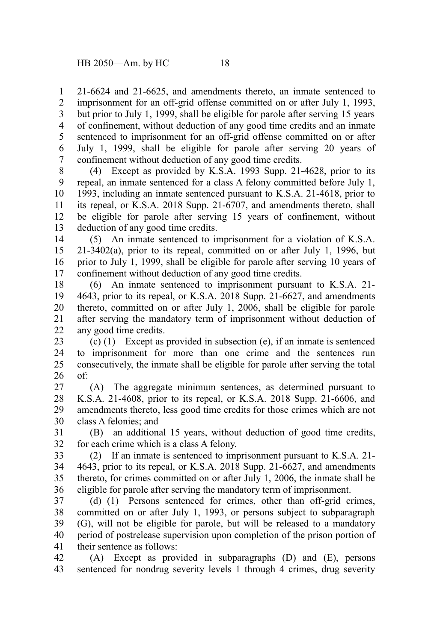21-6624 and 21-6625, and amendments thereto, an inmate sentenced to imprisonment for an off-grid offense committed on or after July 1, 1993, but prior to July 1, 1999, shall be eligible for parole after serving 15 years of confinement, without deduction of any good time credits and an inmate sentenced to imprisonment for an off-grid offense committed on or after July 1, 1999, shall be eligible for parole after serving 20 years of confinement without deduction of any good time credits. 1 2 3 4 5 6 7

(4) Except as provided by K.S.A. 1993 Supp. 21-4628, prior to its repeal, an inmate sentenced for a class A felony committed before July 1, 1993, including an inmate sentenced pursuant to K.S.A. 21-4618, prior to its repeal, or K.S.A. 2018 Supp. 21-6707, and amendments thereto, shall be eligible for parole after serving 15 years of confinement, without deduction of any good time credits. 8 9 10 11 12 13

(5) An inmate sentenced to imprisonment for a violation of K.S.A.  $21-3402(a)$ , prior to its repeal, committed on or after July 1, 1996, but prior to July 1, 1999, shall be eligible for parole after serving 10 years of confinement without deduction of any good time credits. 14 15 16 17

(6) An inmate sentenced to imprisonment pursuant to K.S.A. 21- 4643, prior to its repeal, or K.S.A. 2018 Supp. 21-6627, and amendments thereto, committed on or after July 1, 2006, shall be eligible for parole after serving the mandatory term of imprisonment without deduction of any good time credits. 18 19 20 21 22

(c) (1) Except as provided in subsection (e), if an inmate is sentenced to imprisonment for more than one crime and the sentences run consecutively, the inmate shall be eligible for parole after serving the total of: 23 24 25 26

(A) The aggregate minimum sentences, as determined pursuant to K.S.A. 21-4608, prior to its repeal, or K.S.A. 2018 Supp. 21-6606, and amendments thereto, less good time credits for those crimes which are not class A felonies; and 27 28 29 30

(B) an additional 15 years, without deduction of good time credits, for each crime which is a class A felony. 31 32

(2) If an inmate is sentenced to imprisonment pursuant to K.S.A. 21- 4643, prior to its repeal, or K.S.A. 2018 Supp. 21-6627, and amendments thereto, for crimes committed on or after July 1, 2006, the inmate shall be eligible for parole after serving the mandatory term of imprisonment. 33 34 35 36

(d) (1) Persons sentenced for crimes, other than off-grid crimes, committed on or after July 1, 1993, or persons subject to subparagraph (G), will not be eligible for parole, but will be released to a mandatory period of postrelease supervision upon completion of the prison portion of their sentence as follows: 37 38 39 40 41

(A) Except as provided in subparagraphs (D) and (E), persons sentenced for nondrug severity levels 1 through 4 crimes, drug severity 42 43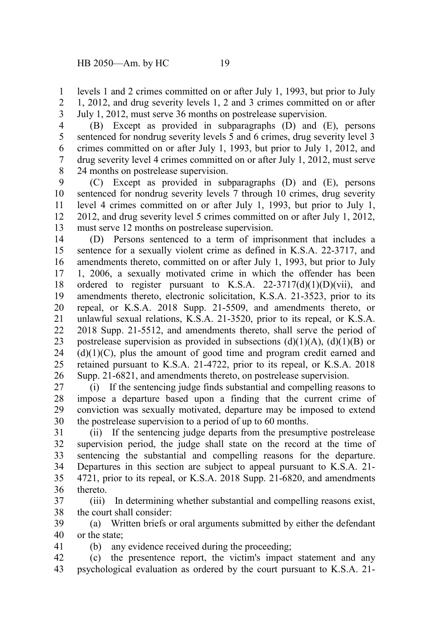levels 1 and 2 crimes committed on or after July 1, 1993, but prior to July 1, 2012, and drug severity levels 1, 2 and 3 crimes committed on or after July 1, 2012, must serve 36 months on postrelease supervision. 1 2 3

(B) Except as provided in subparagraphs (D) and (E), persons sentenced for nondrug severity levels 5 and 6 crimes, drug severity level 3 crimes committed on or after July 1, 1993, but prior to July 1, 2012, and drug severity level 4 crimes committed on or after July 1, 2012, must serve 24 months on postrelease supervision. 4 5 6 7 8

(C) Except as provided in subparagraphs (D) and (E), persons sentenced for nondrug severity levels 7 through 10 crimes, drug severity level 4 crimes committed on or after July 1, 1993, but prior to July 1, 2012, and drug severity level 5 crimes committed on or after July 1, 2012, must serve 12 months on postrelease supervision. 9 10 11 12 13

(D) Persons sentenced to a term of imprisonment that includes a sentence for a sexually violent crime as defined in K.S.A. 22-3717, and amendments thereto, committed on or after July 1, 1993, but prior to July 1, 2006, a sexually motivated crime in which the offender has been ordered to register pursuant to K.S.A.  $22-3717(d)(1)(D)(vii)$ , and amendments thereto, electronic solicitation, K.S.A. 21-3523, prior to its repeal, or K.S.A. 2018 Supp. 21-5509, and amendments thereto, or unlawful sexual relations, K.S.A. 21-3520, prior to its repeal, or K.S.A. 2018 Supp. 21-5512, and amendments thereto, shall serve the period of postrelease supervision as provided in subsections  $(d)(1)(A)$ ,  $(d)(1)(B)$  or  $(d)(1)(C)$ , plus the amount of good time and program credit earned and retained pursuant to K.S.A. 21-4722, prior to its repeal, or K.S.A. 2018 Supp. 21-6821, and amendments thereto, on postrelease supervision. 14 15 16 17 18 19 20 21 22 23 24 25 26

(i) If the sentencing judge finds substantial and compelling reasons to impose a departure based upon a finding that the current crime of conviction was sexually motivated, departure may be imposed to extend the postrelease supervision to a period of up to 60 months. 27 28 29 30

(ii) If the sentencing judge departs from the presumptive postrelease supervision period, the judge shall state on the record at the time of sentencing the substantial and compelling reasons for the departure. Departures in this section are subject to appeal pursuant to K.S.A. 21- 4721, prior to its repeal, or K.S.A. 2018 Supp. 21-6820, and amendments thereto. 31 32 33 34 35 36

(iii) In determining whether substantial and compelling reasons exist, the court shall consider: 37 38

(a) Written briefs or oral arguments submitted by either the defendant or the state; 39 40

(b) any evidence received during the proceeding;

41

(c) the presentence report, the victim's impact statement and any psychological evaluation as ordered by the court pursuant to K.S.A. 21- 42 43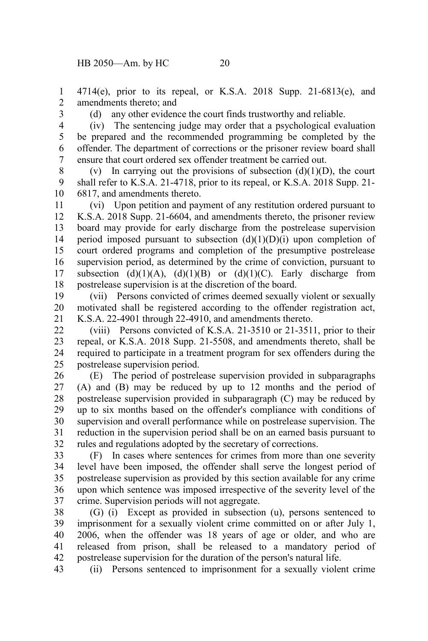4714(e), prior to its repeal, or K.S.A. 2018 Supp. 21-6813(e), and amendments thereto; and 1 2

3

(d) any other evidence the court finds trustworthy and reliable.

(iv) The sentencing judge may order that a psychological evaluation be prepared and the recommended programming be completed by the offender. The department of corrections or the prisoner review board shall ensure that court ordered sex offender treatment be carried out. 4 5 6 7

(v) In carrying out the provisions of subsection  $(d)(1)(D)$ , the court shall refer to K.S.A. 21-4718, prior to its repeal, or K.S.A. 2018 Supp. 21- 6817, and amendments thereto. 8 9 10

(vi) Upon petition and payment of any restitution ordered pursuant to K.S.A. 2018 Supp. 21-6604, and amendments thereto, the prisoner review board may provide for early discharge from the postrelease supervision period imposed pursuant to subsection  $(d)(1)(D)(i)$  upon completion of court ordered programs and completion of the presumptive postrelease supervision period, as determined by the crime of conviction, pursuant to subsection  $(d)(1)(A)$ ,  $(d)(1)(B)$  or  $(d)(1)(C)$ . Early discharge from postrelease supervision is at the discretion of the board. 11 12 13 14 15 16 17 18

(vii) Persons convicted of crimes deemed sexually violent or sexually motivated shall be registered according to the offender registration act, K.S.A. 22-4901 through 22-4910, and amendments thereto. 19 20 21

(viii) Persons convicted of K.S.A. 21-3510 or 21-3511, prior to their repeal, or K.S.A. 2018 Supp. 21-5508, and amendments thereto, shall be required to participate in a treatment program for sex offenders during the postrelease supervision period. 22 23 24 25

(E) The period of postrelease supervision provided in subparagraphs (A) and (B) may be reduced by up to 12 months and the period of postrelease supervision provided in subparagraph (C) may be reduced by up to six months based on the offender's compliance with conditions of supervision and overall performance while on postrelease supervision. The reduction in the supervision period shall be on an earned basis pursuant to rules and regulations adopted by the secretary of corrections. 26 27 28 29 30 31 32

(F) In cases where sentences for crimes from more than one severity level have been imposed, the offender shall serve the longest period of postrelease supervision as provided by this section available for any crime upon which sentence was imposed irrespective of the severity level of the crime. Supervision periods will not aggregate. 33 34 35 36 37

(G) (i) Except as provided in subsection (u), persons sentenced to imprisonment for a sexually violent crime committed on or after July 1, 2006, when the offender was 18 years of age or older, and who are released from prison, shall be released to a mandatory period of postrelease supervision for the duration of the person's natural life. 38 39 40 41 42

(ii) Persons sentenced to imprisonment for a sexually violent crime 43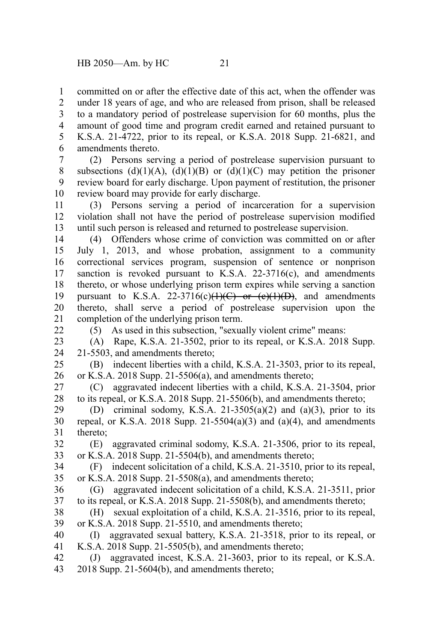committed on or after the effective date of this act, when the offender was under 18 years of age, and who are released from prison, shall be released to a mandatory period of postrelease supervision for 60 months, plus the amount of good time and program credit earned and retained pursuant to K.S.A. 21-4722, prior to its repeal, or K.S.A. 2018 Supp. 21-6821, and amendments thereto. 1 2 3 4 5 6

(2) Persons serving a period of postrelease supervision pursuant to subsections (d)(1)(A), (d)(1)(B) or (d)(1)(C) may petition the prisoner review board for early discharge. Upon payment of restitution, the prisoner review board may provide for early discharge. 7 8 9 10

(3) Persons serving a period of incarceration for a supervision violation shall not have the period of postrelease supervision modified until such person is released and returned to postrelease supervision. 11 12 13

(4) Offenders whose crime of conviction was committed on or after July 1, 2013, and whose probation, assignment to a community correctional services program, suspension of sentence or nonprison sanction is revoked pursuant to K.S.A.  $22-3716(c)$ , and amendments thereto, or whose underlying prison term expires while serving a sanction pursuant to K.S.A. 22-3716(c) $(H)(C)$  or  $(e)(H)(D)$ , and amendments thereto, shall serve a period of postrelease supervision upon the completion of the underlying prison term. 14 15 16 17 18 19 20 21

22

(5) As used in this subsection, "sexually violent crime" means:

(A) Rape, K.S.A. 21-3502, prior to its repeal, or K.S.A. 2018 Supp. 21-5503, and amendments thereto; 23 24

(B) indecent liberties with a child, K.S.A. 21-3503, prior to its repeal, or K.S.A. 2018 Supp. 21-5506(a), and amendments thereto; 25 26

(C) aggravated indecent liberties with a child, K.S.A. 21-3504, prior to its repeal, or K.S.A. 2018 Supp. 21-5506(b), and amendments thereto; 27 28

(D) criminal sodomy, K.S.A. 21-3505(a)(2) and (a)(3), prior to its repeal, or K.S.A. 2018 Supp.  $21-5504(a)(3)$  and  $(a)(4)$ , and amendments thereto; 29 30 31

(E) aggravated criminal sodomy, K.S.A. 21-3506, prior to its repeal, or K.S.A. 2018 Supp. 21-5504(b), and amendments thereto; 32 33

(F) indecent solicitation of a child, K.S.A. 21-3510, prior to its repeal, or K.S.A. 2018 Supp. 21-5508(a), and amendments thereto; 34 35

(G) aggravated indecent solicitation of a child, K.S.A. 21-3511, prior to its repeal, or K.S.A. 2018 Supp. 21-5508(b), and amendments thereto; 36 37

(H) sexual exploitation of a child, K.S.A. 21-3516, prior to its repeal, or K.S.A. 2018 Supp. 21-5510, and amendments thereto; 38 39

(I) aggravated sexual battery, K.S.A. 21-3518, prior to its repeal, or K.S.A. 2018 Supp. 21-5505(b), and amendments thereto; 40 41

(J) aggravated incest, K.S.A. 21-3603, prior to its repeal, or K.S.A. 2018 Supp. 21-5604(b), and amendments thereto; 42 43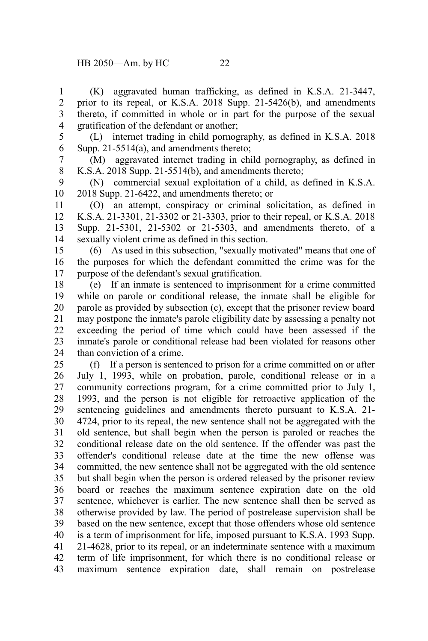(K) aggravated human trafficking, as defined in K.S.A. 21-3447, prior to its repeal, or K.S.A. 2018 Supp. 21-5426(b), and amendments thereto, if committed in whole or in part for the purpose of the sexual gratification of the defendant or another; 1 2 3 4

5

(L) internet trading in child pornography, as defined in K.S.A. 2018 Supp. 21-5514(a), and amendments thereto; 6

(M) aggravated internet trading in child pornography, as defined in K.S.A. 2018 Supp. 21-5514(b), and amendments thereto; 7 8

(N) commercial sexual exploitation of a child, as defined in K.S.A. 2018 Supp. 21-6422, and amendments thereto; or 9 10

(O) an attempt, conspiracy or criminal solicitation, as defined in K.S.A. 21-3301, 21-3302 or 21-3303, prior to their repeal, or K.S.A. 2018 Supp. 21-5301, 21-5302 or 21-5303, and amendments thereto, of a sexually violent crime as defined in this section. 11 12 13 14

(6) As used in this subsection, "sexually motivated" means that one of the purposes for which the defendant committed the crime was for the purpose of the defendant's sexual gratification. 15 16 17

(e) If an inmate is sentenced to imprisonment for a crime committed while on parole or conditional release, the inmate shall be eligible for parole as provided by subsection (c), except that the prisoner review board may postpone the inmate's parole eligibility date by assessing a penalty not exceeding the period of time which could have been assessed if the inmate's parole or conditional release had been violated for reasons other than conviction of a crime. 18 19 20 21 22 23 24

(f) If a person is sentenced to prison for a crime committed on or after July 1, 1993, while on probation, parole, conditional release or in a community corrections program, for a crime committed prior to July 1, 1993, and the person is not eligible for retroactive application of the sentencing guidelines and amendments thereto pursuant to K.S.A. 21- 4724, prior to its repeal, the new sentence shall not be aggregated with the old sentence, but shall begin when the person is paroled or reaches the conditional release date on the old sentence. If the offender was past the offender's conditional release date at the time the new offense was committed, the new sentence shall not be aggregated with the old sentence but shall begin when the person is ordered released by the prisoner review board or reaches the maximum sentence expiration date on the old sentence, whichever is earlier. The new sentence shall then be served as otherwise provided by law. The period of postrelease supervision shall be based on the new sentence, except that those offenders whose old sentence is a term of imprisonment for life, imposed pursuant to K.S.A. 1993 Supp. 21-4628, prior to its repeal, or an indeterminate sentence with a maximum term of life imprisonment, for which there is no conditional release or maximum sentence expiration date, shall remain on postrelease 25 26 27 28 29 30 31 32 33 34 35 36 37 38 39 40 41 42 43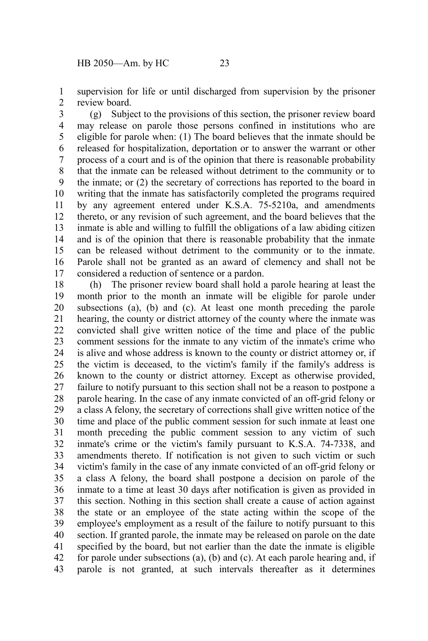supervision for life or until discharged from supervision by the prisoner review board. 1 2

(g) Subject to the provisions of this section, the prisoner review board may release on parole those persons confined in institutions who are eligible for parole when: (1) The board believes that the inmate should be released for hospitalization, deportation or to answer the warrant or other process of a court and is of the opinion that there is reasonable probability that the inmate can be released without detriment to the community or to the inmate; or (2) the secretary of corrections has reported to the board in writing that the inmate has satisfactorily completed the programs required by any agreement entered under K.S.A. 75-5210a, and amendments thereto, or any revision of such agreement, and the board believes that the inmate is able and willing to fulfill the obligations of a law abiding citizen and is of the opinion that there is reasonable probability that the inmate can be released without detriment to the community or to the inmate. Parole shall not be granted as an award of clemency and shall not be considered a reduction of sentence or a pardon. 3 4 5 6 7 8 9 10 11 12 13 14 15 16 17

(h) The prisoner review board shall hold a parole hearing at least the month prior to the month an inmate will be eligible for parole under subsections (a), (b) and (c). At least one month preceding the parole hearing, the county or district attorney of the county where the inmate was convicted shall give written notice of the time and place of the public comment sessions for the inmate to any victim of the inmate's crime who is alive and whose address is known to the county or district attorney or, if the victim is deceased, to the victim's family if the family's address is known to the county or district attorney. Except as otherwise provided, failure to notify pursuant to this section shall not be a reason to postpone a parole hearing. In the case of any inmate convicted of an off-grid felony or a class A felony, the secretary of corrections shall give written notice of the time and place of the public comment session for such inmate at least one month preceding the public comment session to any victim of such inmate's crime or the victim's family pursuant to K.S.A. 74-7338, and amendments thereto. If notification is not given to such victim or such victim's family in the case of any inmate convicted of an off-grid felony or a class A felony, the board shall postpone a decision on parole of the inmate to a time at least 30 days after notification is given as provided in this section. Nothing in this section shall create a cause of action against the state or an employee of the state acting within the scope of the employee's employment as a result of the failure to notify pursuant to this section. If granted parole, the inmate may be released on parole on the date specified by the board, but not earlier than the date the inmate is eligible for parole under subsections (a), (b) and (c). At each parole hearing and, if parole is not granted, at such intervals thereafter as it determines 18 19 20 21 22 23 24 25 26 27 28 29 30 31 32 33 34 35 36 37 38 39 40 41 42 43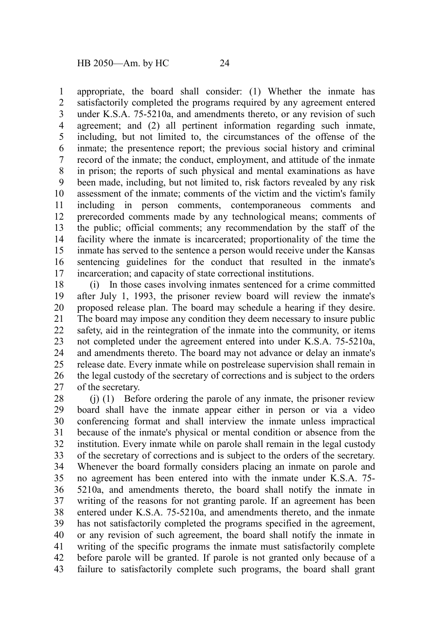appropriate, the board shall consider: (1) Whether the inmate has satisfactorily completed the programs required by any agreement entered under K.S.A. 75-5210a, and amendments thereto, or any revision of such agreement; and (2) all pertinent information regarding such inmate, including, but not limited to, the circumstances of the offense of the inmate; the presentence report; the previous social history and criminal record of the inmate; the conduct, employment, and attitude of the inmate in prison; the reports of such physical and mental examinations as have been made, including, but not limited to, risk factors revealed by any risk assessment of the inmate; comments of the victim and the victim's family including in person comments, contemporaneous comments and prerecorded comments made by any technological means; comments of the public; official comments; any recommendation by the staff of the facility where the inmate is incarcerated; proportionality of the time the inmate has served to the sentence a person would receive under the Kansas sentencing guidelines for the conduct that resulted in the inmate's incarceration; and capacity of state correctional institutions. 1 2 3 4 5 6 7 8 9 10 11 12 13 14 15 16 17

(i) In those cases involving inmates sentenced for a crime committed after July 1, 1993, the prisoner review board will review the inmate's proposed release plan. The board may schedule a hearing if they desire. The board may impose any condition they deem necessary to insure public safety, aid in the reintegration of the inmate into the community, or items not completed under the agreement entered into under K.S.A. 75-5210a, and amendments thereto. The board may not advance or delay an inmate's release date. Every inmate while on postrelease supervision shall remain in the legal custody of the secretary of corrections and is subject to the orders of the secretary. 18 19 20 21 22 23 24 25 26 27

(j) (1) Before ordering the parole of any inmate, the prisoner review board shall have the inmate appear either in person or via a video conferencing format and shall interview the inmate unless impractical because of the inmate's physical or mental condition or absence from the institution. Every inmate while on parole shall remain in the legal custody of the secretary of corrections and is subject to the orders of the secretary. Whenever the board formally considers placing an inmate on parole and no agreement has been entered into with the inmate under K.S.A. 75- 5210a, and amendments thereto, the board shall notify the inmate in writing of the reasons for not granting parole. If an agreement has been entered under K.S.A. 75-5210a, and amendments thereto, and the inmate has not satisfactorily completed the programs specified in the agreement, or any revision of such agreement, the board shall notify the inmate in writing of the specific programs the inmate must satisfactorily complete before parole will be granted. If parole is not granted only because of a failure to satisfactorily complete such programs, the board shall grant 28 29 30 31 32 33 34 35 36 37 38 39 40 41 42 43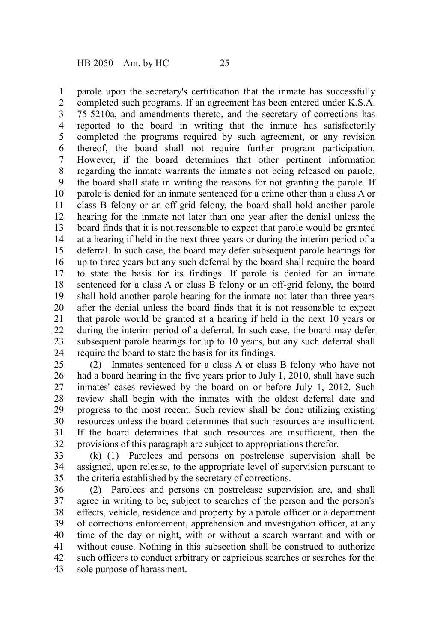parole upon the secretary's certification that the inmate has successfully completed such programs. If an agreement has been entered under K.S.A. 75-5210a, and amendments thereto, and the secretary of corrections has reported to the board in writing that the inmate has satisfactorily completed the programs required by such agreement, or any revision thereof, the board shall not require further program participation. However, if the board determines that other pertinent information regarding the inmate warrants the inmate's not being released on parole, the board shall state in writing the reasons for not granting the parole. If parole is denied for an inmate sentenced for a crime other than a class A or class B felony or an off-grid felony, the board shall hold another parole hearing for the inmate not later than one year after the denial unless the board finds that it is not reasonable to expect that parole would be granted at a hearing if held in the next three years or during the interim period of a deferral. In such case, the board may defer subsequent parole hearings for up to three years but any such deferral by the board shall require the board to state the basis for its findings. If parole is denied for an inmate sentenced for a class A or class B felony or an off-grid felony, the board shall hold another parole hearing for the inmate not later than three years after the denial unless the board finds that it is not reasonable to expect that parole would be granted at a hearing if held in the next 10 years or during the interim period of a deferral. In such case, the board may defer subsequent parole hearings for up to 10 years, but any such deferral shall require the board to state the basis for its findings. 1 2 3 4 5 6 7 8 9 10 11 12 13 14 15 16 17 18 19 20 21 22 23 24

(2) Inmates sentenced for a class A or class B felony who have not had a board hearing in the five years prior to July 1, 2010, shall have such inmates' cases reviewed by the board on or before July 1, 2012. Such review shall begin with the inmates with the oldest deferral date and progress to the most recent. Such review shall be done utilizing existing resources unless the board determines that such resources are insufficient. If the board determines that such resources are insufficient, then the provisions of this paragraph are subject to appropriations therefor. 25 26 27 28 29 30 31 32

(k) (1) Parolees and persons on postrelease supervision shall be assigned, upon release, to the appropriate level of supervision pursuant to the criteria established by the secretary of corrections. 33 34 35

(2) Parolees and persons on postrelease supervision are, and shall agree in writing to be, subject to searches of the person and the person's effects, vehicle, residence and property by a parole officer or a department of corrections enforcement, apprehension and investigation officer, at any time of the day or night, with or without a search warrant and with or without cause. Nothing in this subsection shall be construed to authorize such officers to conduct arbitrary or capricious searches or searches for the sole purpose of harassment. 36 37 38 39 40 41 42 43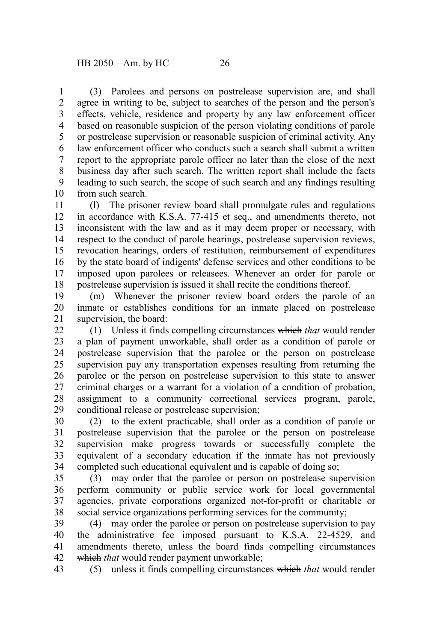(3) Parolees and persons on postrelease supervision are, and shall agree in writing to be, subject to searches of the person and the person's effects, vehicle, residence and property by any law enforcement officer based on reasonable suspicion of the person violating conditions of parole or postrelease supervision or reasonable suspicion of criminal activity. Any law enforcement officer who conducts such a search shall submit a written report to the appropriate parole officer no later than the close of the next business day after such search. The written report shall include the facts leading to such search, the scope of such search and any findings resulting from such search. 1 2 3 4 5 6 7 8 9 10

(l) The prisoner review board shall promulgate rules and regulations in accordance with K.S.A. 77-415 et seq., and amendments thereto, not inconsistent with the law and as it may deem proper or necessary, with respect to the conduct of parole hearings, postrelease supervision reviews, revocation hearings, orders of restitution, reimbursement of expenditures by the state board of indigents' defense services and other conditions to be imposed upon parolees or releasees. Whenever an order for parole or postrelease supervision is issued it shall recite the conditions thereof. 11 12 13 14 15 16 17 18

(m) Whenever the prisoner review board orders the parole of an inmate or establishes conditions for an inmate placed on postrelease supervision, the board: 19 20 21

(1) Unless it finds compelling circumstances which *that* would render a plan of payment unworkable, shall order as a condition of parole or postrelease supervision that the parolee or the person on postrelease supervision pay any transportation expenses resulting from returning the parolee or the person on postrelease supervision to this state to answer criminal charges or a warrant for a violation of a condition of probation, assignment to a community correctional services program, parole, conditional release or postrelease supervision; 22 23 24 25 26 27 28 29

(2) to the extent practicable, shall order as a condition of parole or postrelease supervision that the parolee or the person on postrelease supervision make progress towards or successfully complete the equivalent of a secondary education if the inmate has not previously completed such educational equivalent and is capable of doing so; 30 31 32 33 34

(3) may order that the parolee or person on postrelease supervision perform community or public service work for local governmental agencies, private corporations organized not-for-profit or charitable or social service organizations performing services for the community; 35 36 37 38

(4) may order the parolee or person on postrelease supervision to pay the administrative fee imposed pursuant to K.S.A. 22-4529, and amendments thereto, unless the board finds compelling circumstances which *that* would render payment unworkable; 39 40 41 42

(5) unless it finds compelling circumstances which *that* would render 43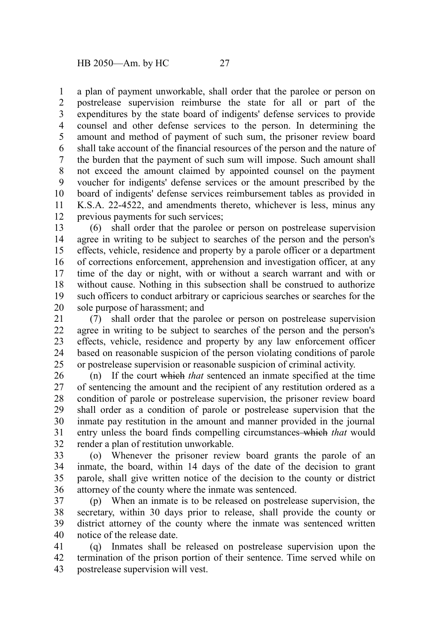a plan of payment unworkable, shall order that the parolee or person on postrelease supervision reimburse the state for all or part of the expenditures by the state board of indigents' defense services to provide counsel and other defense services to the person. In determining the amount and method of payment of such sum, the prisoner review board shall take account of the financial resources of the person and the nature of the burden that the payment of such sum will impose. Such amount shall not exceed the amount claimed by appointed counsel on the payment voucher for indigents' defense services or the amount prescribed by the board of indigents' defense services reimbursement tables as provided in K.S.A. 22-4522, and amendments thereto, whichever is less, minus any previous payments for such services; 1 2 3 4 5 6 7 8 9 10 11 12

(6) shall order that the parolee or person on postrelease supervision agree in writing to be subject to searches of the person and the person's effects, vehicle, residence and property by a parole officer or a department of corrections enforcement, apprehension and investigation officer, at any time of the day or night, with or without a search warrant and with or without cause. Nothing in this subsection shall be construed to authorize such officers to conduct arbitrary or capricious searches or searches for the sole purpose of harassment; and 13 14 15 16 17 18 19 20

(7) shall order that the parolee or person on postrelease supervision agree in writing to be subject to searches of the person and the person's effects, vehicle, residence and property by any law enforcement officer based on reasonable suspicion of the person violating conditions of parole or postrelease supervision or reasonable suspicion of criminal activity. 21 22 23 24 25

(n) If the court which *that* sentenced an inmate specified at the time of sentencing the amount and the recipient of any restitution ordered as a condition of parole or postrelease supervision, the prisoner review board shall order as a condition of parole or postrelease supervision that the inmate pay restitution in the amount and manner provided in the journal entry unless the board finds compelling circumstances which *that* would render a plan of restitution unworkable. 26 27 28 29 30 31 32

(o) Whenever the prisoner review board grants the parole of an inmate, the board, within 14 days of the date of the decision to grant parole, shall give written notice of the decision to the county or district attorney of the county where the inmate was sentenced. 33 34 35 36

(p) When an inmate is to be released on postrelease supervision, the secretary, within 30 days prior to release, shall provide the county or district attorney of the county where the inmate was sentenced written notice of the release date. 37 38 39 40

(q) Inmates shall be released on postrelease supervision upon the termination of the prison portion of their sentence. Time served while on postrelease supervision will vest. 41 42 43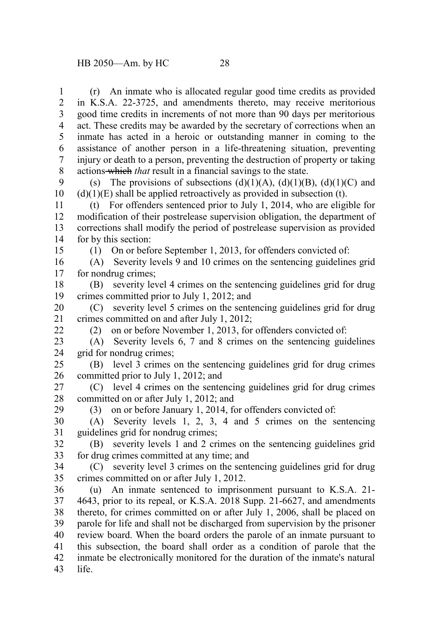(r) An inmate who is allocated regular good time credits as provided in K.S.A. 22-3725, and amendments thereto, may receive meritorious good time credits in increments of not more than 90 days per meritorious act. These credits may be awarded by the secretary of corrections when an inmate has acted in a heroic or outstanding manner in coming to the assistance of another person in a life-threatening situation, preventing injury or death to a person, preventing the destruction of property or taking actions which *that* result in a financial savings to the state. 1 2 3 4 5 6 7 8

(s) The provisions of subsections  $(d)(1)(A)$ ,  $(d)(1)(B)$ ,  $(d)(1)(C)$  and  $(d)(1)(E)$  shall be applied retroactively as provided in subsection (t). 9 10

(t) For offenders sentenced prior to July 1, 2014, who are eligible for modification of their postrelease supervision obligation, the department of corrections shall modify the period of postrelease supervision as provided for by this section: 11 12 13 14

15

(1) On or before September 1, 2013, for offenders convicted of:

(A) Severity levels 9 and 10 crimes on the sentencing guidelines grid for nondrug crimes; 16 17

(B) severity level 4 crimes on the sentencing guidelines grid for drug crimes committed prior to July 1, 2012; and 18 19

(C) severity level 5 crimes on the sentencing guidelines grid for drug crimes committed on and after July 1, 2012; 20 21

(2) on or before November 1, 2013, for offenders convicted of:

(A) Severity levels 6, 7 and 8 crimes on the sentencing guidelines grid for nondrug crimes; 23 24

(B) level 3 crimes on the sentencing guidelines grid for drug crimes committed prior to July 1, 2012; and 25 26

(C) level 4 crimes on the sentencing guidelines grid for drug crimes committed on or after July 1, 2012; and 27 28

(3) on or before January 1, 2014, for offenders convicted of:

(A) Severity levels 1, 2, 3, 4 and 5 crimes on the sentencing guidelines grid for nondrug crimes; 30 31

(B) severity levels 1 and 2 crimes on the sentencing guidelines grid for drug crimes committed at any time; and 32 33

(C) severity level 3 crimes on the sentencing guidelines grid for drug crimes committed on or after July 1, 2012. 34 35

(u) An inmate sentenced to imprisonment pursuant to K.S.A. 21- 4643, prior to its repeal, or K.S.A. 2018 Supp. 21-6627, and amendments thereto, for crimes committed on or after July 1, 2006, shall be placed on parole for life and shall not be discharged from supervision by the prisoner review board. When the board orders the parole of an inmate pursuant to this subsection, the board shall order as a condition of parole that the inmate be electronically monitored for the duration of the inmate's natural life. 36 37 38 39 40 41 42 43

22

29